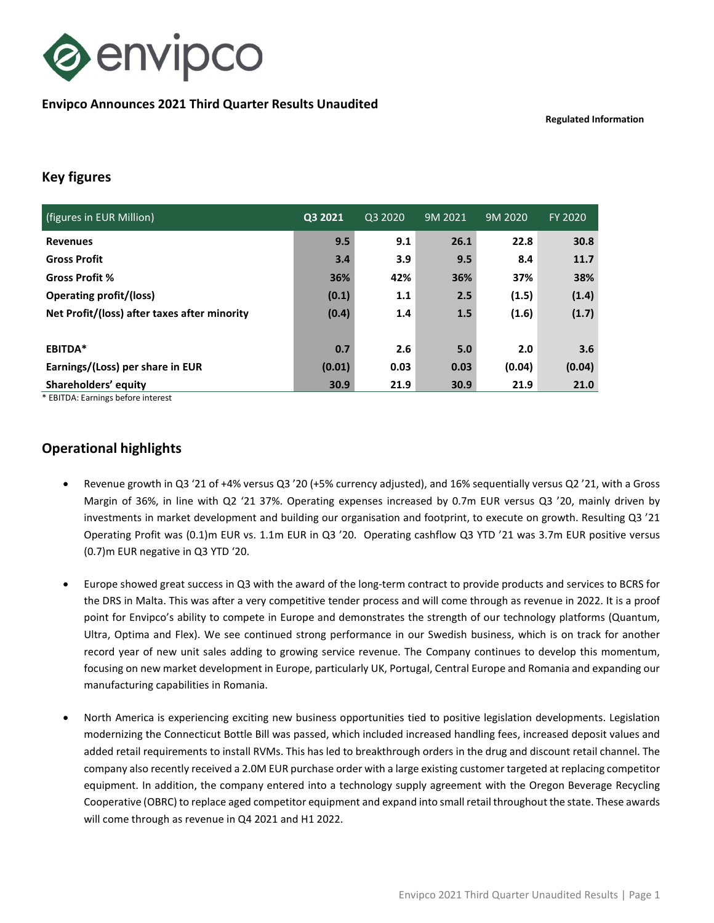

### Envipco Announces 2021 Third Quarter Results Unaudited

Regulated Information

## Key figures

| (figures in EUR Million)                     | Q3 2021 | Q3 2020 | 9M 2021 | 9M 2020 | FY 2020 |
|----------------------------------------------|---------|---------|---------|---------|---------|
| <b>Revenues</b>                              | 9.5     | 9.1     | 26.1    | 22.8    | 30.8    |
| <b>Gross Profit</b>                          | 3.4     | 3.9     | 9.5     | 8.4     | 11.7    |
| <b>Gross Profit %</b>                        | 36%     | 42%     | 36%     | 37%     | 38%     |
| <b>Operating profit/(loss)</b>               | (0.1)   | 1.1     | 2.5     | (1.5)   | (1.4)   |
| Net Profit/(loss) after taxes after minority | (0.4)   | 1.4     | 1.5     | (1.6)   | (1.7)   |
|                                              |         |         |         |         |         |
| EBITDA*                                      | 0.7     | 2.6     | 5.0     | 2.0     | 3.6     |
| Earnings/(Loss) per share in EUR             | (0.01)  | 0.03    | 0.03    | (0.04)  | (0.04)  |
| Shareholders' equity                         | 30.9    | 21.9    | 30.9    | 21.9    | 21.0    |

\* EBITDA: Earnings before interest

# Operational highlights

- Revenue growth in Q3 '21 of +4% versus Q3 '20 (+5% currency adjusted), and 16% sequentially versus Q2 '21, with a Gross Margin of 36%, in line with Q2 '21 37%. Operating expenses increased by 0.7m EUR versus Q3 '20, mainly driven by investments in market development and building our organisation and footprint, to execute on growth. Resulting Q3 '21 Operating Profit was (0.1)m EUR vs. 1.1m EUR in Q3 '20. Operating cashflow Q3 YTD '21 was 3.7m EUR positive versus (0.7)m EUR negative in Q3 YTD '20.
- Europe showed great success in Q3 with the award of the long-term contract to provide products and services to BCRS for the DRS in Malta. This was after a very competitive tender process and will come through as revenue in 2022. It is a proof point for Envipco's ability to compete in Europe and demonstrates the strength of our technology platforms (Quantum, Ultra, Optima and Flex). We see continued strong performance in our Swedish business, which is on track for another record year of new unit sales adding to growing service revenue. The Company continues to develop this momentum, focusing on new market development in Europe, particularly UK, Portugal, Central Europe and Romania and expanding our manufacturing capabilities in Romania.
- North America is experiencing exciting new business opportunities tied to positive legislation developments. Legislation modernizing the Connecticut Bottle Bill was passed, which included increased handling fees, increased deposit values and added retail requirements to install RVMs. This has led to breakthrough orders in the drug and discount retail channel. The company also recently received a 2.0M EUR purchase order with a large existing customer targeted at replacing competitor equipment. In addition, the company entered into a technology supply agreement with the Oregon Beverage Recycling Cooperative (OBRC) to replace aged competitor equipment and expand into small retail throughout the state. These awards will come through as revenue in Q4 2021 and H1 2022.